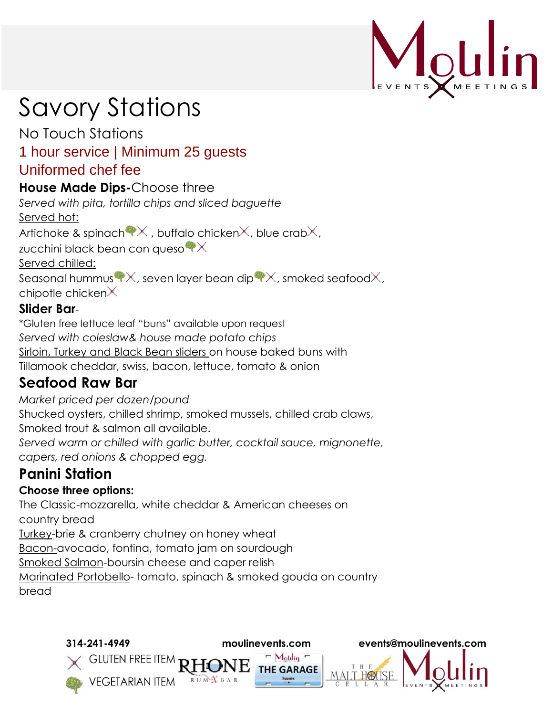

# Savory Stations

No Touch Stations

## 1 hour service | Minimum 25 guests Uniformed chef fee

### **House Made Dips-**Choose three

*Served with pita, tortilla chips and sliced baguette* 

Served hot:

Artichoke & spinach  $\mathbb{R} \times$ , buffalo chicken $\times$ , blue crab $\times$ ,

zucchini black bean con queso  $\mathbb{P}\times$ 

Served chilled:

Seasonal hummus  $\mathbb{X}$ , seven layer bean dip  $\mathbb{X}$ , smoked seafood $\mathbb{X}$ , chipotle chicken $\times$ 

### **Slider Bar**-

\*Gluten free lettuce leaf "buns" available upon request *Served with coleslaw& house made potato chips*  Sirloin, Turkey and Black Bean sliders on house baked buns with Tillamook cheddar, swiss, bacon, lettuce, tomato & onion

## **Seafood Raw Bar**

*Market priced per dozen/pound* Shucked oysters, chilled shrimp, smoked mussels, chilled crab claws, Smoked trout & salmon all available. *Served warm or chilled with garlic butter, cocktail sauce, mignonette, capers, red onions & chopped egg.*

# **Panini Station**

### **Choose three options:**

The Classic-mozzarella, white cheddar & American cheeses on country bread Turkey-brie & cranberry chutney on honey wheat Bacon-avocado, fontina, tomato jam on sourdough Smoked Salmon-boursin cheese and caper relish Marinated Portobello- tomato, spinach & smoked gouda on country bread

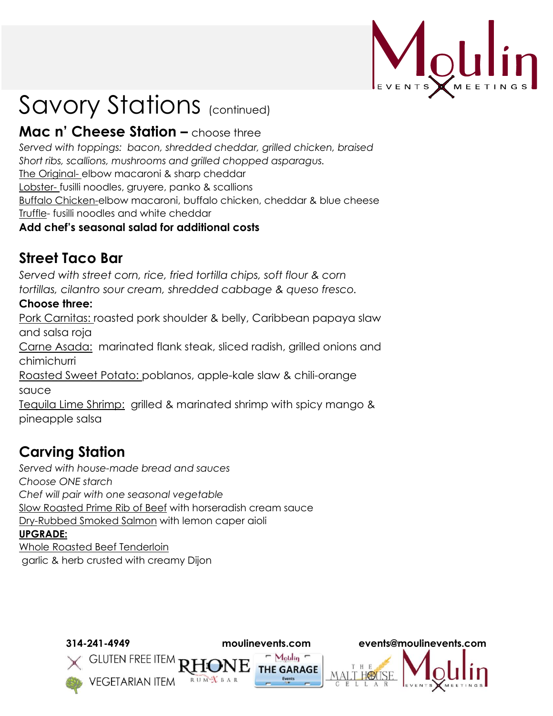

# Savory Stations (continued)

## **Mac n' Cheese Station –** choose three

*Served with toppings: bacon, shredded cheddar, grilled chicken, braised Short ribs, scallions, mushrooms and grilled chopped asparagus.* The Original- elbow macaroni & sharp cheddar Lobster- fusilli noodles, gruyere, panko & scallions Buffalo Chicken-elbow macaroni, buffalo chicken, cheddar & blue cheese Truffle- fusilli noodles and white cheddar

#### **Add chef's seasonal salad for additional costs**

# **Street Taco Bar**

*Served with street corn, rice, fried tortilla chips, soft flour & corn tortillas, cilantro sour cream, shredded cabbage & queso fresco.*

#### **Choose three:**

Pork Carnitas: roasted pork shoulder & belly, Caribbean papaya slaw and salsa roja Carne Asada: marinated flank steak, sliced radish, grilled onions and chimichurri

Roasted Sweet Potato: poblanos, apple-kale slaw & chili-orange sauce

Tequila Lime Shrimp: grilled & marinated shrimp with spicy mango & pineapple salsa

# **Carving Station**

*Served with house-made bread and sauces Choose ONE starch Chef will pair with one seasonal vegetable* Slow Roasted Prime Rib of Beef with horseradish cream sauce Dry-Rubbed Smoked Salmon with lemon caper aioli **UPGRADE:** Whole Roasted Beef Tenderloin garlic & herb crusted with creamy Dijon

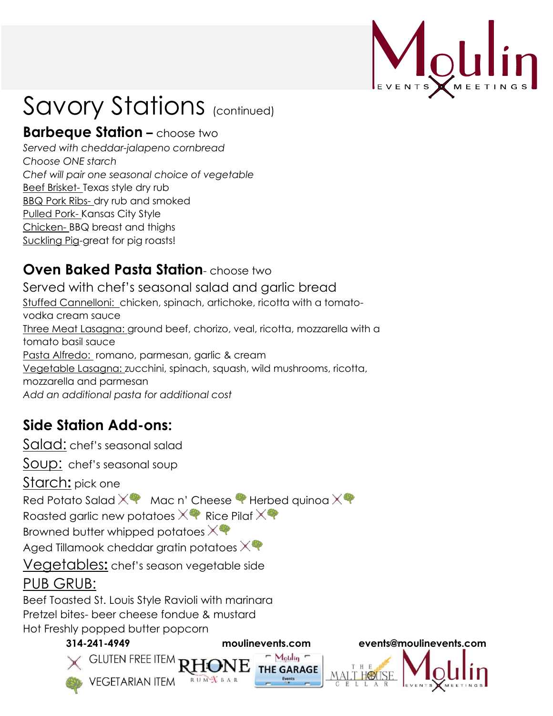

# Savory Stations (continued)

## **Barbeque Station –** choose two

*Served with cheddar-jalapeno cornbread Choose ONE starch Chef will pair one seasonal choice of vegetable* Beef Brisket- Texas style dry rub BBQ Pork Ribs- dry rub and smoked Pulled Pork- Kansas City Style Chicken- BBQ breast and thighs Suckling Pig-great for pig roasts!

## **Oven Baked Pasta Station**- choose two

Served with chef's seasonal salad and garlic bread Stuffed Cannelloni: chicken, spinach, artichoke, ricotta with a tomatovodka cream sauce Three Meat Lasagna: ground beef, chorizo, veal, ricotta, mozzarella with a tomato basil sauce Pasta **Alfredo:** romano, parmesan, garlic & cream Vegetable Lasagna: zucchini, spinach, squash, wild mushrooms, ricotta, mozzarella and parmesan *Add an additional pasta for additional cost*

# **Side Station Add-ons:**

Salad: chef's seasonal salad Soup: chef's seasonal soup Starch**:** pick one Red Potato Salad  $\times$  Mac n' Cheese  $\bullet$  Herbed quinoa  $\times \bullet$ Roasted garlic new potatoes  $\times$  Rice Pilaf  $\times$ Browned butter whipped potatoes  $\times$ Aged Tillamook cheddar gratin potatoes  $\times$ Vegetables**:** chef's season vegetable side PUB GRUB: Beef Toasted St. Louis Style Ravioli with marinara Pretzel bites- beer cheese fondue & mustard Hot Freshly popped butter popcorn **314-241-4949 moulinevents.com events@moulinevents.com**  $\sim$  Moulin  $\sim$ **GLUTEN FREE ITEM THE GARAGE VEGETARIAN ITEM**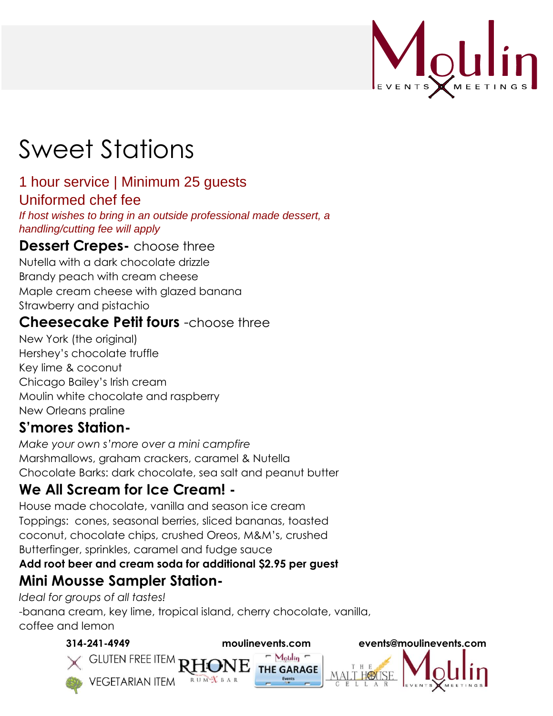

# Sweet Stations

#### 1 hour service | Minimum 25 guests Uniformed chef fee

*If host wishes to bring in an outside professional made dessert, a handling/cutting fee will apply* 

### **Dessert Crepes-** choose three

Nutella with a dark chocolate drizzle Brandy peach with cream cheese Maple cream cheese with glazed banana Strawberry and pistachio

### **Cheesecake Petit fours** -choose three

New York (the original) Hershey's chocolate truffle Key lime & coconut Chicago Bailey's Irish cream Moulin white chocolate and raspberry New Orleans praline

## **S'mores Station-**

*Make your own s'more over a mini campfire* Marshmallows, graham crackers, caramel & Nutella Chocolate Barks: dark chocolate, sea salt and peanut butter

# **We All Scream for Ice Cream! -**

House made chocolate, vanilla and season ice cream Toppings: cones, seasonal berries, sliced bananas, toasted coconut, chocolate chips, crushed Oreos, M&M's, crushed Butterfinger, sprinkles, caramel and fudge sauce

#### **Add root beer and cream soda for additional \$2.95 per guest**

 $\sim$  Motilin  $\sim$ 

**THE GARAGE** 

## **Mini Mousse Sampler Station-**

**VEGETARIAN ITEM** 

*Ideal for groups of all tastes!*  -banana cream, key lime, tropical island, cherry chocolate, vanilla, coffee and lemon

#### **314-241-4949 moulinevents.com events@moulinevents.com**